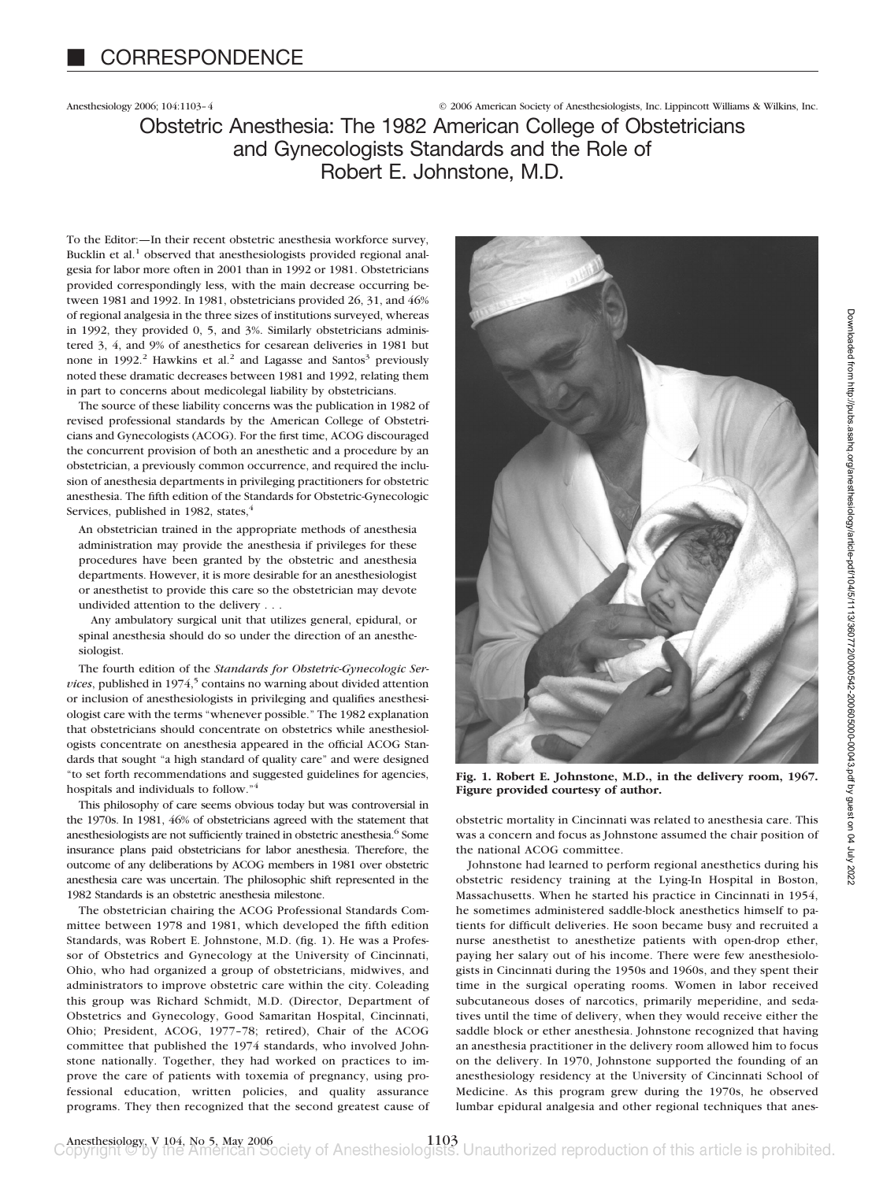Anesthesiology 2006; 104:1103–4 © 2006 American Society of Anesthesiologists, Inc. Lippincott Williams & Wilkins, Inc.

Obstetric Anesthesia: The 1982 American College of Obstetricians and Gynecologists Standards and the Role of Robert E. Johnstone, M.D.

To the Editor:—In their recent obstetric anesthesia workforce survey, Bucklin et al.<sup>1</sup> observed that anesthesiologists provided regional analgesia for labor more often in 2001 than in 1992 or 1981. Obstetricians provided correspondingly less, with the main decrease occurring between 1981 and 1992. In 1981, obstetricians provided 26, 31, and 46% of regional analgesia in the three sizes of institutions surveyed, whereas in 1992, they provided 0, 5, and 3%. Similarly obstetricians administered 3, 4, and 9% of anesthetics for cesarean deliveries in 1981 but none in 1992.<sup>2</sup> Hawkins et al.<sup>2</sup> and Lagasse and Santos<sup>3</sup> previously noted these dramatic decreases between 1981 and 1992, relating them in part to concerns about medicolegal liability by obstetricians.

The source of these liability concerns was the publication in 1982 of revised professional standards by the American College of Obstetricians and Gynecologists (ACOG). For the first time, ACOG discouraged the concurrent provision of both an anesthetic and a procedure by an obstetrician, a previously common occurrence, and required the inclusion of anesthesia departments in privileging practitioners for obstetric anesthesia. The fifth edition of the Standards for Obstetric-Gynecologic Services, published in 1982, states, $4$ 

An obstetrician trained in the appropriate methods of anesthesia administration may provide the anesthesia if privileges for these procedures have been granted by the obstetric and anesthesia departments. However, it is more desirable for an anesthesiologist or anesthetist to provide this care so the obstetrician may devote undivided attention to the delivery...

Any ambulatory surgical unit that utilizes general, epidural, or spinal anesthesia should do so under the direction of an anesthesiologist.

The fourth edition of the *Standards for Obstetric-Gynecologic Ser-, published in*  $1974<sup>5</sup>$  *contains no warning about divided attention* or inclusion of anesthesiologists in privileging and qualifies anesthesiologist care with the terms "whenever possible." The 1982 explanation that obstetricians should concentrate on obstetrics while anesthesiologists concentrate on anesthesia appeared in the official ACOG Standards that sought "a high standard of quality care" and were designed "to set forth recommendations and suggested guidelines for agencies, hospitals and individuals to follow."<sup>4</sup>

This philosophy of care seems obvious today but was controversial in the 1970s. In 1981, 46% of obstetricians agreed with the statement that anesthesiologists are not sufficiently trained in obstetric anesthesia.<sup>6</sup> Some insurance plans paid obstetricians for labor anesthesia. Therefore, the outcome of any deliberations by ACOG members in 1981 over obstetric anesthesia care was uncertain. The philosophic shift represented in the 1982 Standards is an obstetric anesthesia milestone.

The obstetrician chairing the ACOG Professional Standards Committee between 1978 and 1981, which developed the fifth edition Standards, was Robert E. Johnstone, M.D. (fig. 1). He was a Professor of Obstetrics and Gynecology at the University of Cincinnati, Ohio, who had organized a group of obstetricians, midwives, and administrators to improve obstetric care within the city. Coleading this group was Richard Schmidt, M.D. (Director, Department of Obstetrics and Gynecology, Good Samaritan Hospital, Cincinnati, Ohio; President, ACOG, 1977–78; retired), Chair of the ACOG committee that published the 1974 standards, who involved Johnstone nationally. Together, they had worked on practices to improve the care of patients with toxemia of pregnancy, using professional education, written policies, and quality assurance programs. They then recognized that the second greatest cause of



**Fig. 1. Robert E. Johnstone, M.D., in the delivery room, 1967. Figure provided courtesy of author.**

obstetric mortality in Cincinnati was related to anesthesia care. This was a concern and focus as Johnstone assumed the chair position of the national ACOG committee.

Johnstone had learned to perform regional anesthetics during his obstetric residency training at the Lying-In Hospital in Boston, Massachusetts. When he started his practice in Cincinnati in 1954, he sometimes administered saddle-block anesthetics himself to patients for difficult deliveries. He soon became busy and recruited a nurse anesthetist to anesthetize patients with open-drop ether, paying her salary out of his income. There were few anesthesiologists in Cincinnati during the 1950s and 1960s, and they spent their time in the surgical operating rooms. Women in labor received subcutaneous doses of narcotics, primarily meperidine, and sedatives until the time of delivery, when they would receive either the saddle block or ether anesthesia. Johnstone recognized that having an anesthesia practitioner in the delivery room allowed him to focus on the delivery. In 1970, Johnstone supported the founding of an anesthesiology residency at the University of Cincinnati School of Medicine. As this program grew during the 1970s, he observed lumbar epidural analgesia and other regional techniques that anes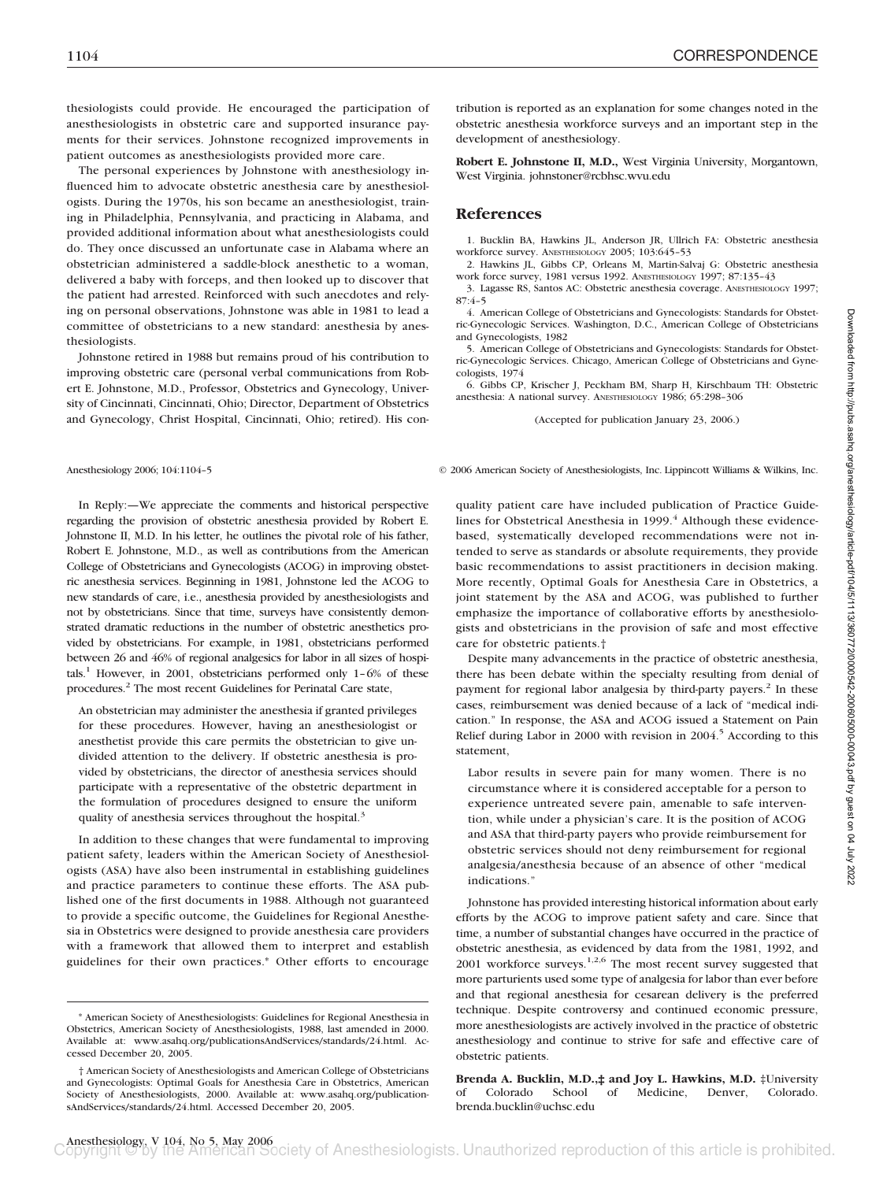thesiologists could provide. He encouraged the participation of anesthesiologists in obstetric care and supported insurance payments for their services. Johnstone recognized improvements in patient outcomes as anesthesiologists provided more care.

The personal experiences by Johnstone with anesthesiology influenced him to advocate obstetric anesthesia care by anesthesiologists. During the 1970s, his son became an anesthesiologist, training in Philadelphia, Pennsylvania, and practicing in Alabama, and provided additional information about what anesthesiologists could do. They once discussed an unfortunate case in Alabama where an obstetrician administered a saddle-block anesthetic to a woman, delivered a baby with forceps, and then looked up to discover that the patient had arrested. Reinforced with such anecdotes and relying on personal observations, Johnstone was able in 1981 to lead a committee of obstetricians to a new standard: anesthesia by anesthesiologists.

Johnstone retired in 1988 but remains proud of his contribution to improving obstetric care (personal verbal communications from Robert E. Johnstone, M.D., Professor, Obstetrics and Gynecology, University of Cincinnati, Cincinnati, Ohio; Director, Department of Obstetrics and Gynecology, Christ Hospital, Cincinnati, Ohio; retired). His con-

In Reply:—We appreciate the comments and historical perspective regarding the provision of obstetric anesthesia provided by Robert E. Johnstone II, M.D. In his letter, he outlines the pivotal role of his father, Robert E. Johnstone, M.D., as well as contributions from the American College of Obstetricians and Gynecologists (ACOG) in improving obstetric anesthesia services. Beginning in 1981, Johnstone led the ACOG to new standards of care, i.e., anesthesia provided by anesthesiologists and not by obstetricians. Since that time, surveys have consistently demonstrated dramatic reductions in the number of obstetric anesthetics provided by obstetricians. For example, in 1981, obstetricians performed between 26 and 46% of regional analgesics for labor in all sizes of hospitals.<sup>1</sup> However, in 2001, obstetricians performed only  $1-6%$  of these procedures.2 The most recent Guidelines for Perinatal Care state,

An obstetrician may administer the anesthesia if granted privileges for these procedures. However, having an anesthesiologist or anesthetist provide this care permits the obstetrician to give undivided attention to the delivery. If obstetric anesthesia is provided by obstetricians, the director of anesthesia services should participate with a representative of the obstetric department in the formulation of procedures designed to ensure the uniform quality of anesthesia services throughout the hospital.<sup>3</sup>

In addition to these changes that were fundamental to improving patient safety, leaders within the American Society of Anesthesiologists (ASA) have also been instrumental in establishing guidelines and practice parameters to continue these efforts. The ASA published one of the first documents in 1988. Although not guaranteed to provide a specific outcome, the Guidelines for Regional Anesthesia in Obstetrics were designed to provide anesthesia care providers with a framework that allowed them to interpret and establish guidelines for their own practices.\* Other efforts to encourage

tribution is reported as an explanation for some changes noted in the obstetric anesthesia workforce surveys and an important step in the development of anesthesiology.

**Robert E. Johnstone II, M.D.,** West Virginia University, Morgantown, West Virginia. johnstoner@rcbhsc.wvu.edu

### **References**

1. Bucklin BA, Hawkins JL, Anderson JR, Ullrich FA: Obstetric anesthesia workforce survey. ANESTHESIOLOGY 2005; 103:645–53

2. Hawkins JL, Gibbs CP, Orleans M, Martin-Salvaj G: Obstetric anesthesia work force survey, 1981 versus 1992. ANESTHESIOLOGY 1997; 87:135–43

3. Lagasse RS, Santos AC: Obstetric anesthesia coverage. ANESTHESIOLOGY 1997; 87:4–5

4. American College of Obstetricians and Gynecologists: Standards for Obstetric-Gynecologic Services. Washington, D.C., American College of Obstetricians and Gynecologists, 1982

5. American College of Obstetricians and Gynecologists: Standards for Obstetric-Gynecologic Services. Chicago, American College of Obstetricians and Gynecologists, 1974

6. Gibbs CP, Krischer J, Peckham BM, Sharp H, Kirschbaum TH: Obstetric anesthesia: A national survey. ANESTHESIOLOGY 1986; 65:298–306

(Accepted for publication January 23, 2006.)

Anesthesiology 2006; 104:1104-5 © 2006 American Society of Anesthesiologists, Inc. Lippincott Williams & Wilkins, Inc.

quality patient care have included publication of Practice Guidelines for Obstetrical Anesthesia in 1999. $4$  Although these evidencebased, systematically developed recommendations were not intended to serve as standards or absolute requirements, they provide basic recommendations to assist practitioners in decision making. More recently, Optimal Goals for Anesthesia Care in Obstetrics, a joint statement by the ASA and ACOG, was published to further emphasize the importance of collaborative efforts by anesthesiologists and obstetricians in the provision of safe and most effective care for obstetric patients.†

Despite many advancements in the practice of obstetric anesthesia, there has been debate within the specialty resulting from denial of payment for regional labor analgesia by third-party payers.<sup>2</sup> In these cases, reimbursement was denied because of a lack of "medical indication." In response, the ASA and ACOG issued a Statement on Pain Relief during Labor in 2000 with revision in 2004.<sup>5</sup> According to this statement,

Labor results in severe pain for many women. There is no circumstance where it is considered acceptable for a person to experience untreated severe pain, amenable to safe intervention, while under a physician's care. It is the position of ACOG and ASA that third-party payers who provide reimbursement for obstetric services should not deny reimbursement for regional analgesia/anesthesia because of an absence of other "medical indications."

Johnstone has provided interesting historical information about early efforts by the ACOG to improve patient safety and care. Since that time, a number of substantial changes have occurred in the practice of obstetric anesthesia, as evidenced by data from the 1981, 1992, and 2001 workforce surveys.1,2,6 The most recent survey suggested that more parturients used some type of analgesia for labor than ever before and that regional anesthesia for cesarean delivery is the preferred technique. Despite controversy and continued economic pressure, more anesthesiologists are actively involved in the practice of obstetric anesthesiology and continue to strive for safe and effective care of obstetric patients.

**Brenda A. Bucklin, M.D.,‡ and Joy L. Hawkins, M.D.** ‡University of Colorado School of Medicine, Denver, Colorado. brenda.bucklin@uchsc.edu

<sup>\*</sup> American Society of Anesthesiologists: Guidelines for Regional Anesthesia in Obstetrics, American Society of Anesthesiologists, 1988, last amended in 2000. Available at: www.asahq.org/publicationsAndServices/standards/24.html. Accessed December 20, 2005.

<sup>†</sup> American Society of Anesthesiologists and American College of Obstetricians and Gynecologists: Optimal Goals for Anesthesia Care in Obstetrics, American Society of Anesthesiologists, 2000. Available at: www.asahq.org/publicationsAndServices/standards/24.html. Accessed December 20, 2005.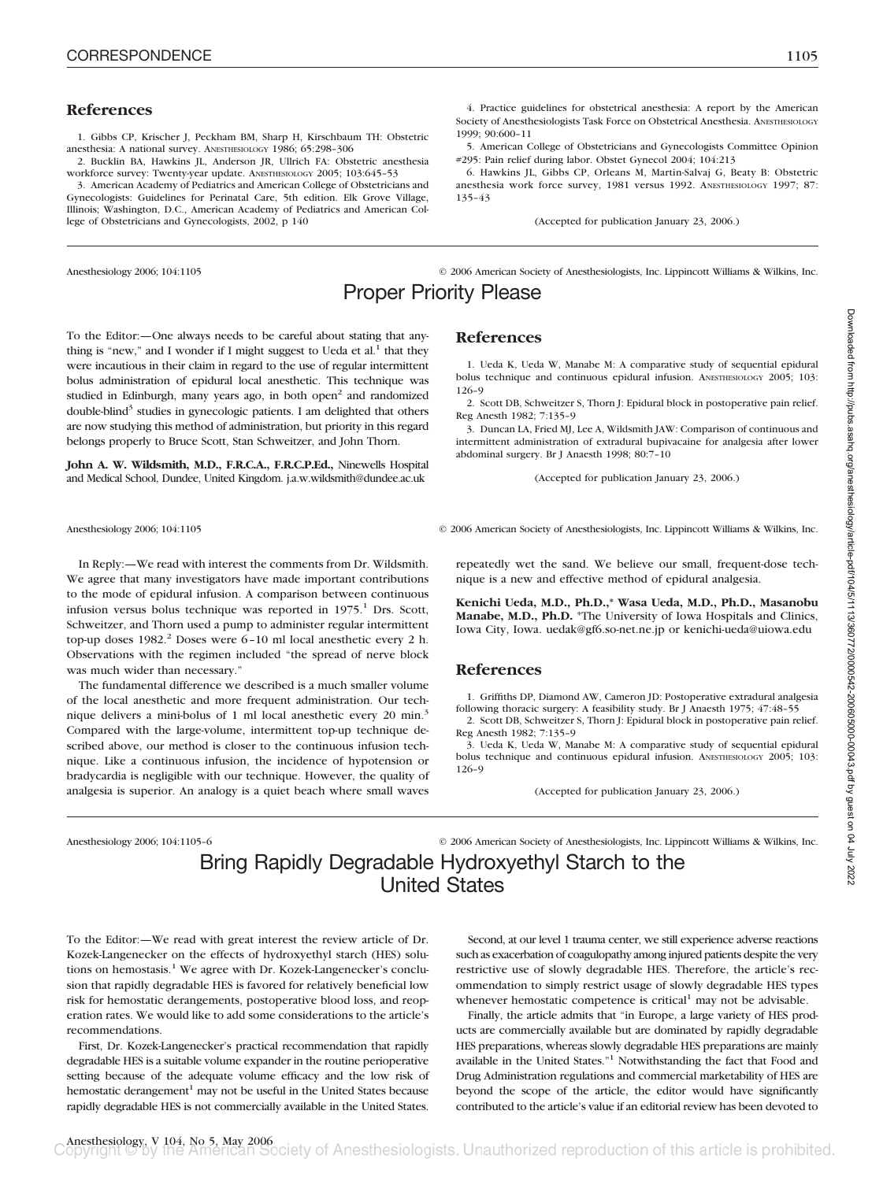### **References**

1. Gibbs CP, Krischer J, Peckham BM, Sharp H, Kirschbaum TH: Obstetric anesthesia: A national survey. ANESTHESIOLOGY 1986; 65:298–306

2. Bucklin BA, Hawkins JL, Anderson JR, Ullrich FA: Obstetric anesthesia workforce survey: Twenty-year update. ANESTHESIOLOGY 2005; 103:645–53

3. American Academy of Pediatrics and American College of Obstetricians and Gynecologists: Guidelines for Perinatal Care, 5th edition. Elk Grove Village, Illinois; Washington, D.C., American Academy of Pediatrics and American College of Obstetricians and Gynecologists, 2002, p 140

4. Practice guidelines for obstetrical anesthesia: A report by the American Society of Anesthesiologists Task Force on Obstetrical Anesthesia. ANESTHESIOLOGY 1999; 90:600–11

5. American College of Obstetricians and Gynecologists Committee Opinion #295: Pain relief during labor. Obstet Gynecol 2004; 104:213

6. Hawkins JL, Gibbs CP, Orleans M, Martin-Salvaj G, Beaty B: Obstetric anesthesia work force survey, 1981 versus 1992. ANESTHESIOLOGY 1997; 87: 135–43

(Accepted for publication January 23, 2006.)

Anesthesiology 2006; 104:1105 © 2006 American Society of Anesthesiologists, Inc. Lippincott Williams & Wilkins, Inc.

# Proper Priority Please

To the Editor:—One always needs to be careful about stating that anything is "new," and I wonder if I might suggest to Ueda et al.<sup>1</sup> that they were incautious in their claim in regard to the use of regular intermittent bolus administration of epidural local anesthetic. This technique was studied in Edinburgh, many years ago, in both open<sup>2</sup> and randomized double-blind<sup>3</sup> studies in gynecologic patients. I am delighted that others are now studying this method of administration, but priority in this regard belongs properly to Bruce Scott, Stan Schweitzer, and John Thorn.

**John A. W. Wildsmith, M.D., F.R.C.A., F.R.C.P.Ed.,** Ninewells Hospital and Medical School, Dundee, United Kingdom. j.a.w.wildsmith@dundee.ac.uk

In Reply:—We read with interest the comments from Dr. Wildsmith. We agree that many investigators have made important contributions to the mode of epidural infusion. A comparison between continuous infusion versus bolus technique was reported in  $1975<sup>1</sup>$  Drs. Scott, Schweitzer, and Thorn used a pump to administer regular intermittent top-up doses  $1982<sup>2</sup>$  Doses were 6–10 ml local anesthetic every 2 h. Observations with the regimen included "the spread of nerve block was much wider than necessary."

The fundamental difference we described is a much smaller volume of the local anesthetic and more frequent administration. Our technique delivers a mini-bolus of 1 ml local anesthetic every 20 min.<sup>3</sup> Compared with the large-volume, intermittent top-up technique described above, our method is closer to the continuous infusion technique. Like a continuous infusion, the incidence of hypotension or bradycardia is negligible with our technique. However, the quality of analgesia is superior. An analogy is a quiet beach where small waves

### **References**

1. Ueda K, Ueda W, Manabe M: A comparative study of sequential epidural bolus technique and continuous epidural infusion. ANESTHESIOLOGY 2005; 103: 126–9

2. Scott DB, Schweitzer S, Thorn J: Epidural block in postoperative pain relief. Reg Anesth 1982; 7:135–9

3. Duncan LA, Fried MJ, Lee A, Wildsmith JAW: Comparison of continuous and intermittent administration of extradural bupivacaine for analgesia after lower abdominal surgery. Br J Anaesth 1998; 80:7–10

(Accepted for publication January 23, 2006.)

Anesthesiology 2006; 104:1105 © 2006 American Society of Anesthesiologists, Inc. Lippincott Williams & Wilkins, Inc.

repeatedly wet the sand. We believe our small, frequent-dose technique is a new and effective method of epidural analgesia.

**Kenichi Ueda, M.D., Ph.D.,\* Wasa Ueda, M.D., Ph.D., Masanobu Manabe, M.D., Ph.D.** \*The University of Iowa Hospitals and Clinics, Iowa City, Iowa. uedak@gf6.so-net.ne.jp or kenichi-ueda@uiowa.edu

### **References**

1. Griffiths DP, Diamond AW, Cameron JD: Postoperative extradural analgesia

following thoracic surgery: A feasibility study. Br J Anaesth 1975; 47:48–55 2. Scott DB, Schweitzer S, Thorn J: Epidural block in postoperative pain relief. Reg Anesth 1982; 7:135–9

3. Ueda K, Ueda W, Manabe M: A comparative study of sequential epidural bolus technique and continuous epidural infusion. ANESTHESIOLOGY 2005; 103: 126–9

(Accepted for publication January 23, 2006.)

Anesthesiology 2006; 104:1105–6 © 2006 American Society of Anesthesiologists, Inc. Lippincott Williams & Wilkins, Inc.

## Bring Rapidly Degradable Hydroxyethyl Starch to the United States

To the Editor:—We read with great interest the review article of Dr. Kozek-Langenecker on the effects of hydroxyethyl starch (HES) solutions on hemostasis.<sup>1</sup> We agree with Dr. Kozek-Langenecker's conclusion that rapidly degradable HES is favored for relatively beneficial low risk for hemostatic derangements, postoperative blood loss, and reoperation rates. We would like to add some considerations to the article's recommendations.

First, Dr. Kozek-Langenecker's practical recommendation that rapidly degradable HES is a suitable volume expander in the routine perioperative setting because of the adequate volume efficacy and the low risk of hemostatic derangement<sup>1</sup> may not be useful in the United States because rapidly degradable HES is not commercially available in the United States.

Second, at our level 1 trauma center, we still experience adverse reactions such as exacerbation of coagulopathy among injured patients despite the very restrictive use of slowly degradable HES. Therefore, the article's recommendation to simply restrict usage of slowly degradable HES types whenever hemostatic competence is critical<sup>1</sup> may not be advisable.

Finally, the article admits that "in Europe, a large variety of HES products are commercially available but are dominated by rapidly degradable HES preparations, whereas slowly degradable HES preparations are mainly available in the United States."1 Notwithstanding the fact that Food and Drug Administration regulations and commercial marketability of HES are beyond the scope of the article, the editor would have significantly contributed to the article's value if an editorial review has been devoted to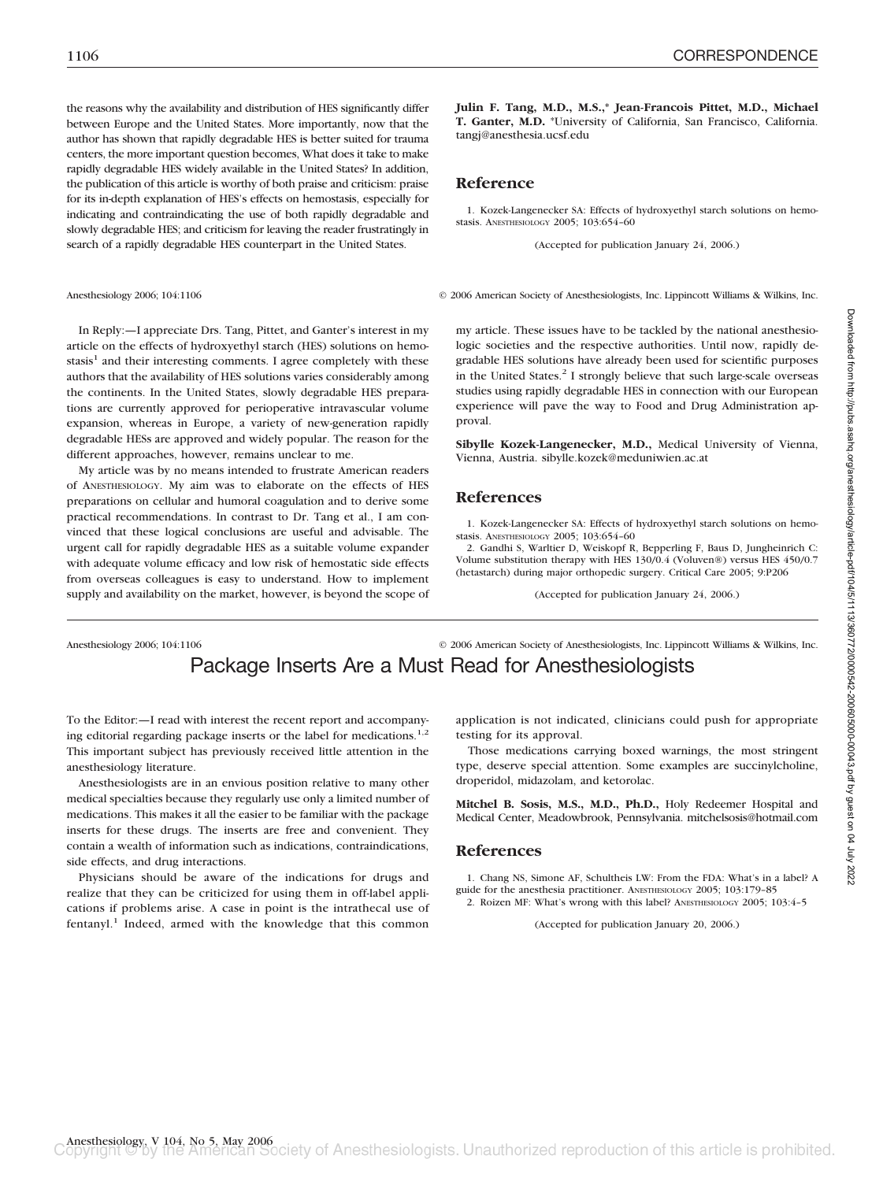the reasons why the availability and distribution of HES significantly differ between Europe and the United States. More importantly, now that the author has shown that rapidly degradable HES is better suited for trauma centers, the more important question becomes, What does it take to make rapidly degradable HES widely available in the United States? In addition, the publication of this article is worthy of both praise and criticism: praise for its in-depth explanation of HES's effects on hemostasis, especially for indicating and contraindicating the use of both rapidly degradable and slowly degradable HES; and criticism for leaving the reader frustratingly in search of a rapidly degradable HES counterpart in the United States.

In Reply:—I appreciate Drs. Tang, Pittet, and Ganter's interest in my article on the effects of hydroxyethyl starch (HES) solutions on hemostasis<sup>1</sup> and their interesting comments. I agree completely with these authors that the availability of HES solutions varies considerably among the continents. In the United States, slowly degradable HES preparations are currently approved for perioperative intravascular volume expansion, whereas in Europe, a variety of new-generation rapidly degradable HESs are approved and widely popular. The reason for the different approaches, however, remains unclear to me.

My article was by no means intended to frustrate American readers of ANESTHESIOLOGY. My aim was to elaborate on the effects of HES preparations on cellular and humoral coagulation and to derive some practical recommendations. In contrast to Dr. Tang et al., I am convinced that these logical conclusions are useful and advisable. The urgent call for rapidly degradable HES as a suitable volume expander with adequate volume efficacy and low risk of hemostatic side effects from overseas colleagues is easy to understand. How to implement supply and availability on the market, however, is beyond the scope of

**Julin F. Tang, M.D., M.S.,\* Jean-Francois Pittet, M.D., Michael T. Ganter, M.D.** \*University of California, San Francisco, California. tangj@anesthesia.ucsf.edu

### **Reference**

1. Kozek-Langenecker SA: Effects of hydroxyethyl starch solutions on hemostasis. ANESTHESIOLOGY 2005; 103:654–60

(Accepted for publication January 24, 2006.)

Anesthesiology 2006; 104:1106 © 2006 American Society of Anesthesiologists, Inc. Lippincott Williams & Wilkins, Inc.

my article. These issues have to be tackled by the national anesthesiologic societies and the respective authorities. Until now, rapidly degradable HES solutions have already been used for scientific purposes in the United States.<sup>2</sup> I strongly believe that such large-scale overseas studies using rapidly degradable HES in connection with our European experience will pave the way to Food and Drug Administration approval.

**Sibylle Kozek-Langenecker, M.D.,** Medical University of Vienna, Vienna, Austria. sibylle.kozek@meduniwien.ac.at

### **References**

1. Kozek-Langenecker SA: Effects of hydroxyethyl starch solutions on hemostasis. ANESTHESIOLOGY 2005; 103:654–60

2. Gandhi S, Warltier D, Weiskopf R, Bepperling F, Baus D, Jungheinrich C: Volume substitution therapy with HES 130/0.4 (Voluven®) versus HES 450/0.7 (hetastarch) during major orthopedic surgery. Critical Care 2005; 9:P206

(Accepted for publication January 24, 2006.)

Anesthesiology 2006; 104:1106 © 2006 American Society of Anesthesiologists, Inc. Lippincott Williams & Wilkins, Inc.

Package Inserts Are a Must Read for Anesthesiologists

To the Editor:—I read with interest the recent report and accompanying editorial regarding package inserts or the label for medications.<sup>1,2</sup> This important subject has previously received little attention in the anesthesiology literature.

Anesthesiologists are in an envious position relative to many other medical specialties because they regularly use only a limited number of medications. This makes it all the easier to be familiar with the package inserts for these drugs. The inserts are free and convenient. They contain a wealth of information such as indications, contraindications, side effects, and drug interactions.

Physicians should be aware of the indications for drugs and realize that they can be criticized for using them in off-label applications if problems arise. A case in point is the intrathecal use of fentanyl.<sup>1</sup> Indeed, armed with the knowledge that this common

application is not indicated, clinicians could push for appropriate testing for its approval.

Those medications carrying boxed warnings, the most stringent type, deserve special attention. Some examples are succinylcholine, droperidol, midazolam, and ketorolac.

**Mitchel B. Sosis, M.S., M.D., Ph.D.,** Holy Redeemer Hospital and Medical Center, Meadowbrook, Pennsylvania. mitchelsosis@hotmail.com

### **References**

1. Chang NS, Simone AF, Schultheis LW: From the FDA: What's in a label? A guide for the anesthesia practitioner. ANESTHESIOLOGY 2005; 103:179–85 2. Roizen MF: What's wrong with this label? ANESTHESIOLOGY 2005; 103:4–5

(Accepted for publication January 20, 2006.)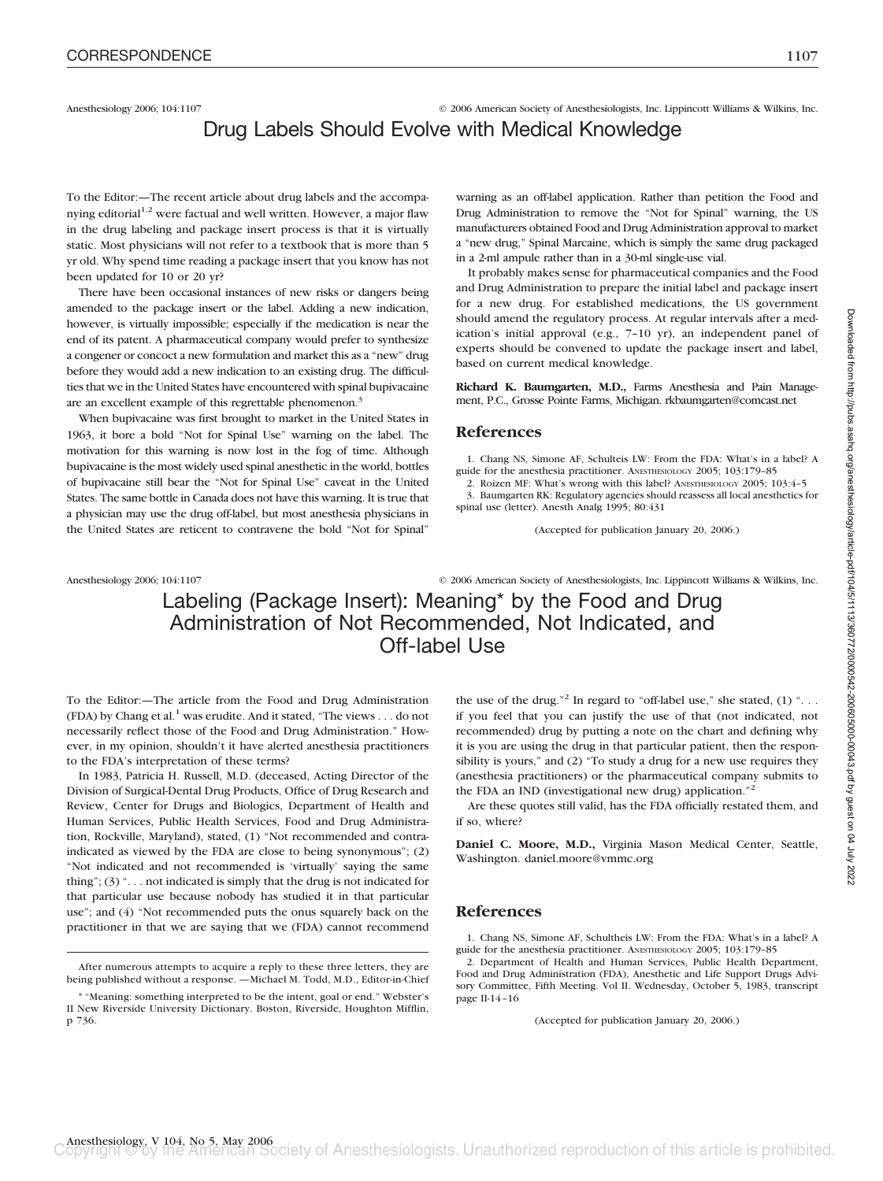Anesthesiology 2006; 104:1107 © 2006 American Society of Anesthesiologists, Inc. Lippincott Williams & Wilkins, Inc.

## Drug Labels Should Evolve with Medical Knowledge

To the Editor:—The recent article about drug labels and the accompanying editorial<sup>1,2</sup> were factual and well written. However, a major flaw in the drug labeling and package insert process is that it is virtually static. Most physicians will not refer to a textbook that is more than 5 yr old. Why spend time reading a package insert that you know has not been updated for 10 or 20 yr?

There have been occasional instances of new risks or dangers being amended to the package insert or the label. Adding a new indication, however, is virtually impossible; especially if the medication is near the end of its patent. A pharmaceutical company would prefer to synthesize a congener or concoct a new formulation and market this as a "new" drug before they would add a new indication to an existing drug. The difficulties that we in the United States have encountered with spinal bupivacaine are an excellent example of this regrettable phenomenon.<sup>3</sup>

When bupivacaine was first brought to market in the United States in 1963, it bore a bold "Not for Spinal Use" warning on the label. The motivation for this warning is now lost in the fog of time. Although bupivacaine is the most widely used spinal anesthetic in the world, bottles of bupivacaine still bear the "Not for Spinal Use" caveat in the United States. The same bottle in Canada does not have this warning. It is true that a physician may use the drug off-label, but most anesthesia physicians in the United States are reticent to contravene the bold "Not for Spinal"

warning as an off-label application. Rather than petition the Food and Drug Administration to remove the "Not for Spinal" warning, the US manufacturers obtained Food and Drug Administration approval to market a "new drug," Spinal Marcaine, which is simply the same drug packaged in a 2-ml ampule rather than in a 30-ml single-use vial.

It probably makes sense for pharmaceutical companies and the Food and Drug Administration to prepare the initial label and package insert for a new drug. For established medications, the US government should amend the regulatory process. At regular intervals after a medication's initial approval (e.g., 7–10 yr), an independent panel of experts should be convened to update the package insert and label, based on current medical knowledge.

**Richard K. Baumgarten, M.D.,** Farms Anesthesia and Pain Management, P.C., Grosse Pointe Farms, Michigan. rkbaumgarten@comcast.net

### **References**

1. Chang NS, Simone AF, Schulteis LW: From the FDA: What's in a label? A guide for the anesthesia practitioner. ANESTHESIOLOGY 2005; 103:179–85

2. Roizen MF: What's wrong with this label? ANESTHESIOLOGY 2005; 103:4–5 3. Baumgarten RK: Regulatory agencies should reassess all local anesthetics for spinal use (letter). Anesth Analg 1995; 80:431

(Accepted for publication January 20, 2006.)

Anesthesiology 2006; 104:1107 © 2006 American Society of Anesthesiologists, Inc. Lippincott Williams & Wilkins, Inc.

Labeling (Package Insert): Meaning\* by the Food and Drug Administration of Not Recommended, Not Indicated, and Off-label Use

To the Editor:—The article from the Food and Drug Administration (FDA) by Chang et al.<sup>1</sup> was erudite. And it stated, "The views . . . do not necessarily reflect those of the Food and Drug Administration." However, in my opinion, shouldn't it have alerted anesthesia practitioners to the FDA's interpretation of these terms?

In 1983, Patricia H. Russell, M.D. (deceased, Acting Director of the Division of Surgical-Dental Drug Products, Office of Drug Research and Review, Center for Drugs and Biologics, Department of Health and Human Services, Public Health Services, Food and Drug Administration, Rockville, Maryland), stated, (1) "Not recommended and contraindicated as viewed by the FDA are close to being synonymous"; (2) "Not indicated and not recommended is 'virtually' saying the same thing";  $(3)$  "... not indicated is simply that the drug is not indicated for that particular use because nobody has studied it in that particular use"; and (4) "Not recommended puts the onus squarely back on the practitioner in that we are saying that we (FDA) cannot recommend

the use of the drug."<sup>2</sup> In regard to "off-label use," she stated,  $(1)$  "... if you feel that you can justify the use of that (not indicated, not recommended) drug by putting a note on the chart and defining why it is you are using the drug in that particular patient, then the responsibility is yours," and (2) "To study a drug for a new use requires they (anesthesia practitioners) or the pharmaceutical company submits to the FDA an IND (investigational new drug) application.<sup>"2</sup>

Are these quotes still valid, has the FDA officially restated them, and if so, where?

**Daniel C. Moore, M.D.,** Virginia Mason Medical Center, Seattle, Washington. daniel.moore@vmmc.org

### **References**

1. Chang NS, Simone AF, Schultheis LW: From the FDA: What's in a label? A guide for the anesthesia practitioner. ANESTHESIOLOGY 2005; 103:179–85

2. Department of Health and Human Services, Public Health Department, Food and Drug Administration (FDA), Anesthetic and Life Support Drugs Advisory Committee, Fifth Meeting. Vol II. Wednesday, October 5, 1983, transcript page II-14–16

(Accepted for publication January 20, 2006.)

After numerous attempts to acquire a reply to these three letters, they are being published without a response. —Michael M. Todd, M.D., Editor-in-Chief

<sup>\* &</sup>quot;Meaning: something interpreted to be the intent, goal or end." Webster's II New Riverside University Dictionary. Boston, Riverside, Houghton Mifflin, p 736.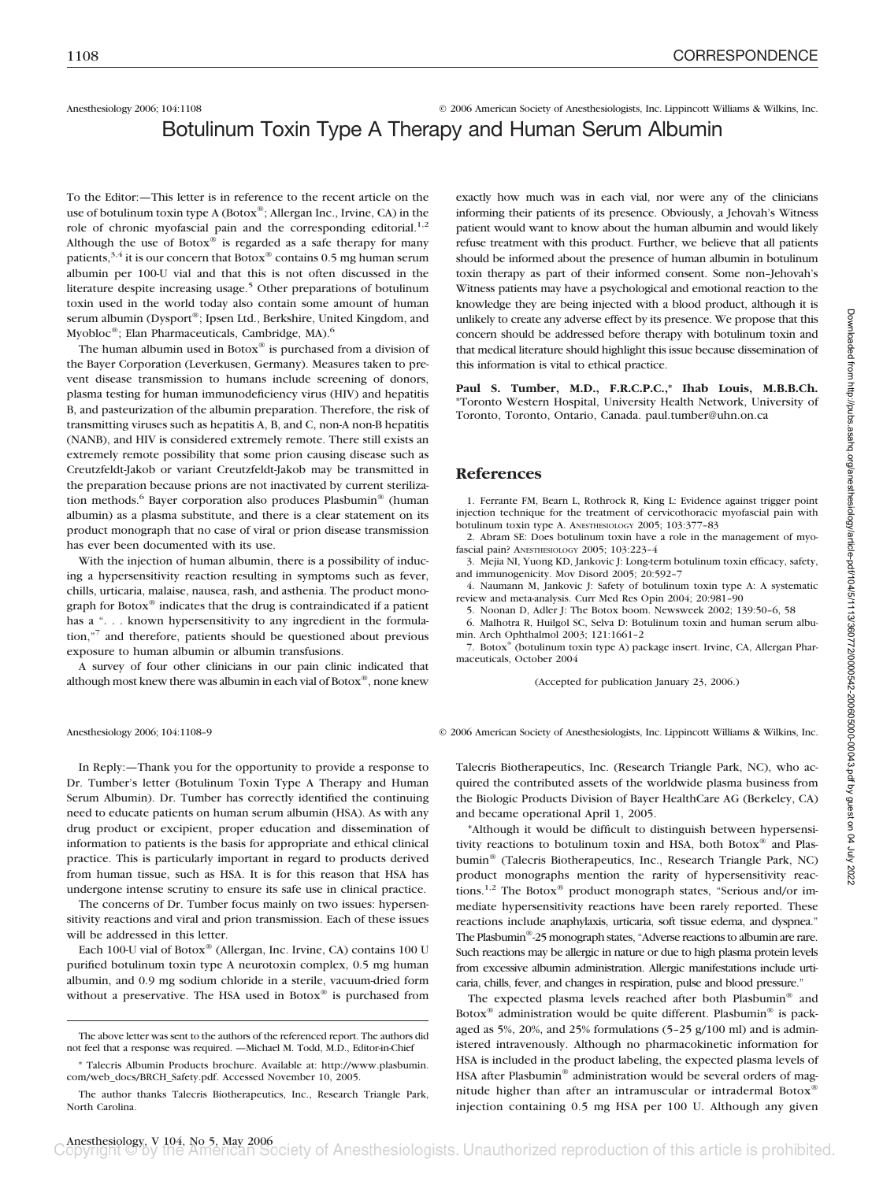Anesthesiology 2006; 104:1108 © 2006 American Society of Anesthesiologists, Inc. Lippincott Williams & Wilkins, Inc.

# Botulinum Toxin Type A Therapy and Human Serum Albumin

To the Editor:—This letter is in reference to the recent article on the use of botulinum toxin type A (Botox®; Allergan Inc., Irvine, CA) in the role of chronic myofascial pain and the corresponding editorial.<sup>1,2</sup> Although the use of Boto $x^{\circledast}$  is regarded as a safe therapy for many patients,3,4 it is our concern that Botox® contains 0.5 mg human serum albumin per 100-U vial and that this is not often discussed in the literature despite increasing usage.<sup>5</sup> Other preparations of botulinum toxin used in the world today also contain some amount of human serum albumin (Dysport®; Ipsen Ltd., Berkshire, United Kingdom, and Myobloc®; Elan Pharmaceuticals, Cambridge, MA).6

The human albumin used in Botox® is purchased from a division of the Bayer Corporation (Leverkusen, Germany). Measures taken to prevent disease transmission to humans include screening of donors, plasma testing for human immunodeficiency virus (HIV) and hepatitis B, and pasteurization of the albumin preparation. Therefore, the risk of transmitting viruses such as hepatitis A, B, and C, non-A non-B hepatitis (NANB), and HIV is considered extremely remote. There still exists an extremely remote possibility that some prion causing disease such as Creutzfeldt-Jakob or variant Creutzfeldt-Jakob may be transmitted in the preparation because prions are not inactivated by current sterilization methods.<sup>6</sup> Bayer corporation also produces Plasbumin® (human albumin) as a plasma substitute, and there is a clear statement on its product monograph that no case of viral or prion disease transmission has ever been documented with its use.

With the injection of human albumin, there is a possibility of inducing a hypersensitivity reaction resulting in symptoms such as fever, chills, urticaria, malaise, nausea, rash, and asthenia. The product monograph for Botox® indicates that the drug is contraindicated if a patient has a "... known hypersensitivity to any ingredient in the formulation,"7 and therefore, patients should be questioned about previous exposure to human albumin or albumin transfusions.

A survey of four other clinicians in our pain clinic indicated that although most knew there was albumin in each vial of Botox®, none knew

In Reply:—Thank you for the opportunity to provide a response to Dr. Tumber's letter (Botulinum Toxin Type A Therapy and Human Serum Albumin). Dr. Tumber has correctly identified the continuing need to educate patients on human serum albumin (HSA). As with any drug product or excipient, proper education and dissemination of information to patients is the basis for appropriate and ethical clinical practice. This is particularly important in regard to products derived from human tissue, such as HSA. It is for this reason that HSA has undergone intense scrutiny to ensure its safe use in clinical practice.

The concerns of Dr. Tumber focus mainly on two issues: hypersensitivity reactions and viral and prion transmission. Each of these issues will be addressed in this letter.

Each 100-U vial of Botox® (Allergan, Inc. Irvine, CA) contains 100 U purified botulinum toxin type A neurotoxin complex, 0.5 mg human albumin, and 0.9 mg sodium chloride in a sterile, vacuum-dried form without a preservative. The HSA used in Botox® is purchased from

The above letter was sent to the authors of the referenced report. The authors did not feel that a response was required. —Michael M. Todd, M.D., Editor-in-Chief

Talecris Albumin Products brochure. Available at: http://www.plasbumin. com/web\_docs/BRCH\_Safety.pdf. Accessed November 10, 2005.

The author thanks Talecris Biotherapeutics, Inc., Research Triangle Park, North Carolina.

exactly how much was in each vial, nor were any of the clinicians informing their patients of its presence. Obviously, a Jehovah's Witness patient would want to know about the human albumin and would likely refuse treatment with this product. Further, we believe that all patients should be informed about the presence of human albumin in botulinum toxin therapy as part of their informed consent. Some non–Jehovah's Witness patients may have a psychological and emotional reaction to the knowledge they are being injected with a blood product, although it is unlikely to create any adverse effect by its presence. We propose that this concern should be addressed before therapy with botulinum toxin and that medical literature should highlight this issue because dissemination of this information is vital to ethical practice.

**Paul S. Tumber, M.D., F.R.C.P.C.,\* Ihab Louis, M.B.B.Ch.** \*Toronto Western Hospital, University Health Network, University of Toronto, Toronto, Ontario, Canada. paul.tumber@uhn.on.ca

### **References**

1. Ferrante FM, Bearn L, Rothrock R, King L: Evidence against trigger point injection technique for the treatment of cervicothoracic myofascial pain with botulinum toxin type A. ANESTHESIOLOGY 2005; 103:377–83

2. Abram SE: Does botulinum toxin have a role in the management of myofascial pain? ANESTHESIOLOGY 2005; 103:223–4

3. Mejia NI, Yuong KD, Jankovic J: Long-term botulinum toxin efficacy, safety, and immunogenicity. Mov Disord 2005; 20:592–7

4. Naumann M, Jankovic J: Safety of botulinum toxin type A: A systematic review and meta-analysis. Curr Med Res Opin 2004; 20:981–90

5. Noonan D, Adler J: The Botox boom. Newsweek 2002; 139:50–6, 58

6. Malhotra R, Huilgol SC, Selva D: Botulinum toxin and human serum albumin. Arch Ophthalmol 2003; 121:1661–2

7. Botox® (botulinum toxin type A) package insert. Irvine, CA, Allergan Pharmaceuticals, October 2004

(Accepted for publication January 23, 2006.)

Anesthesiology 2006; 104:1108–9 © 2006 American Society of Anesthesiologists, Inc. Lippincott Williams & Wilkins, Inc.

Talecris Biotherapeutics, Inc. (Research Triangle Park, NC), who acquired the contributed assets of the worldwide plasma business from the Biologic Products Division of Bayer HealthCare AG (Berkeley, CA) and became operational April 1, 2005.

\*Although it would be difficult to distinguish between hypersensitivity reactions to botulinum toxin and HSA, both Botox® and Plasbumin® (Talecris Biotherapeutics, Inc., Research Triangle Park, NC) product monographs mention the rarity of hypersensitivity reactions.1,2 The Botox® product monograph states, "Serious and/or immediate hypersensitivity reactions have been rarely reported. These reactions include anaphylaxis, urticaria, soft tissue edema, and dyspnea." The Plasbumin®-25 monograph states, "Adverse reactions to albumin are rare. Such reactions may be allergic in nature or due to high plasma protein levels from excessive albumin administration. Allergic manifestations include urticaria, chills, fever, and changes in respiration, pulse and blood pressure."

The expected plasma levels reached after both Plasbumin® and Botox® administration would be quite different. Plasbumin® is packaged as 5%, 20%, and 25% formulations (5–25 g/100 ml) and is administered intravenously. Although no pharmacokinetic information for HSA is included in the product labeling, the expected plasma levels of HSA after Plasbumin<sup>®</sup> administration would be several orders of magnitude higher than after an intramuscular or intradermal Botox<sup>®</sup> injection containing 0.5 mg HSA per 100 U. Although any given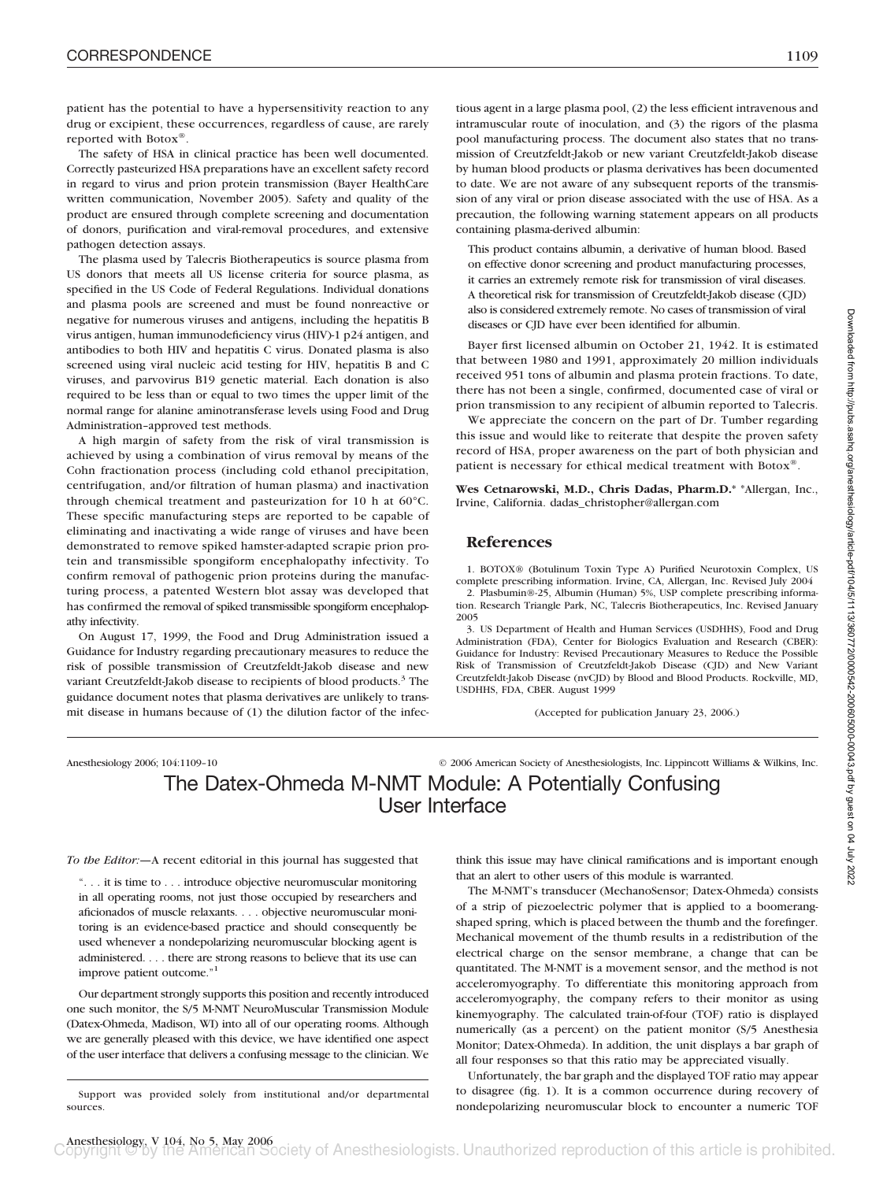patient has the potential to have a hypersensitivity reaction to any drug or excipient, these occurrences, regardless of cause, are rarely reported with Botox®.

The safety of HSA in clinical practice has been well documented. Correctly pasteurized HSA preparations have an excellent safety record in regard to virus and prion protein transmission (Bayer HealthCare written communication, November 2005). Safety and quality of the product are ensured through complete screening and documentation of donors, purification and viral-removal procedures, and extensive pathogen detection assays.

The plasma used by Talecris Biotherapeutics is source plasma from US donors that meets all US license criteria for source plasma, as specified in the US Code of Federal Regulations. Individual donations and plasma pools are screened and must be found nonreactive or negative for numerous viruses and antigens, including the hepatitis B virus antigen, human immunodeficiency virus (HIV)-1 p24 antigen, and antibodies to both HIV and hepatitis C virus. Donated plasma is also screened using viral nucleic acid testing for HIV, hepatitis B and C viruses, and parvovirus B19 genetic material. Each donation is also required to be less than or equal to two times the upper limit of the normal range for alanine aminotransferase levels using Food and Drug Administration–approved test methods.

A high margin of safety from the risk of viral transmission is achieved by using a combination of virus removal by means of the Cohn fractionation process (including cold ethanol precipitation, centrifugation, and/or filtration of human plasma) and inactivation through chemical treatment and pasteurization for 10 h at 60°C. These specific manufacturing steps are reported to be capable of eliminating and inactivating a wide range of viruses and have been demonstrated to remove spiked hamster-adapted scrapie prion protein and transmissible spongiform encephalopathy infectivity. To confirm removal of pathogenic prion proteins during the manufacturing process, a patented Western blot assay was developed that has confirmed the removal of spiked transmissible spongiform encephalopathy infectivity.

On August 17, 1999, the Food and Drug Administration issued a Guidance for Industry regarding precautionary measures to reduce the risk of possible transmission of Creutzfeldt-Jakob disease and new variant Creutzfeldt-Jakob disease to recipients of blood products.3 The guidance document notes that plasma derivatives are unlikely to transmit disease in humans because of (1) the dilution factor of the infec-

tious agent in a large plasma pool, (2) the less efficient intravenous and intramuscular route of inoculation, and (3) the rigors of the plasma pool manufacturing process. The document also states that no transmission of Creutzfeldt-Jakob or new variant Creutzfeldt-Jakob disease by human blood products or plasma derivatives has been documented to date. We are not aware of any subsequent reports of the transmission of any viral or prion disease associated with the use of HSA. As a precaution, the following warning statement appears on all products containing plasma-derived albumin:

This product contains albumin, a derivative of human blood. Based on effective donor screening and product manufacturing processes, it carries an extremely remote risk for transmission of viral diseases. A theoretical risk for transmission of Creutzfeldt-Jakob disease (CJD) also is considered extremely remote. No cases of transmission of viral diseases or CJD have ever been identified for albumin.

Bayer first licensed albumin on October 21, 1942. It is estimated that between 1980 and 1991, approximately 20 million individuals received 951 tons of albumin and plasma protein fractions. To date, there has not been a single, confirmed, documented case of viral or prion transmission to any recipient of albumin reported to Talecris.

We appreciate the concern on the part of Dr. Tumber regarding this issue and would like to reiterate that despite the proven safety record of HSA, proper awareness on the part of both physician and patient is necessary for ethical medical treatment with Botox®.

**Wes Cetnarowski, M.D., Chris Dadas, Pharm.D.\*** \*Allergan, Inc., Irvine, California. dadas\_christopher@allergan.com

### **References**

1. BOTOX® (Botulinum Toxin Type A) Purified Neurotoxin Complex, US complete prescribing information. Irvine, CA, Allergan, Inc. Revised July 2004 2. Plasbumin®-25, Albumin (Human) 5%, USP complete prescribing information. Research Triangle Park, NC, Talecris Biotherapeutics, Inc. Revised January 2005

3. US Department of Health and Human Services (USDHHS), Food and Drug Administration (FDA), Center for Biologics Evaluation and Research (CBER): Guidance for Industry: Revised Precautionary Measures to Reduce the Possible Risk of Transmission of Creutzfeldt-Jakob Disease (CJD) and New Variant Creutzfeldt-Jakob Disease (nvCJD) by Blood and Blood Products. Rockville, MD, USDHHS, FDA, CBER. August 1999

(Accepted for publication January 23, 2006.)

Anesthesiology 2006; 104:1109–10 © 2006 American Society of Anesthesiologists, Inc. Lippincott Williams & Wilkins, Inc. The Datex-Ohmeda M-NMT Module: A Potentially Confusing User Interface

*To the Editor:*—A recent editorial in this journal has suggested that

". . . it is time to... introduce objective neuromuscular monitoring in all operating rooms, not just those occupied by researchers and aficionados of muscle relaxants.... objective neuromuscular monitoring is an evidence-based practice and should consequently be used whenever a nondepolarizing neuromuscular blocking agent is administered.... there are strong reasons to believe that its use can improve patient outcome."1

Our department strongly supports this position and recently introduced one such monitor, the S/5 M-NMT NeuroMuscular Transmission Module (Datex-Ohmeda, Madison, WI) into all of our operating rooms. Although we are generally pleased with this device, we have identified one aspect of the user interface that delivers a confusing message to the clinician. We

Support was provided solely from institutional and/or departmental sources.

think this issue may have clinical ramifications and is important enough that an alert to other users of this module is warranted.

The M-NMT's transducer (MechanoSensor; Datex-Ohmeda) consists of a strip of piezoelectric polymer that is applied to a boomerangshaped spring, which is placed between the thumb and the forefinger. Mechanical movement of the thumb results in a redistribution of the electrical charge on the sensor membrane, a change that can be quantitated. The M-NMT is a movement sensor, and the method is not acceleromyography. To differentiate this monitoring approach from acceleromyography, the company refers to their monitor as using kinemyography. The calculated train-of-four (TOF) ratio is displayed numerically (as a percent) on the patient monitor (S/5 Anesthesia Monitor; Datex-Ohmeda). In addition, the unit displays a bar graph of all four responses so that this ratio may be appreciated visually.

Unfortunately, the bar graph and the displayed TOF ratio may appear to disagree (fig. 1). It is a common occurrence during recovery of nondepolarizing neuromuscular block to encounter a numeric TOF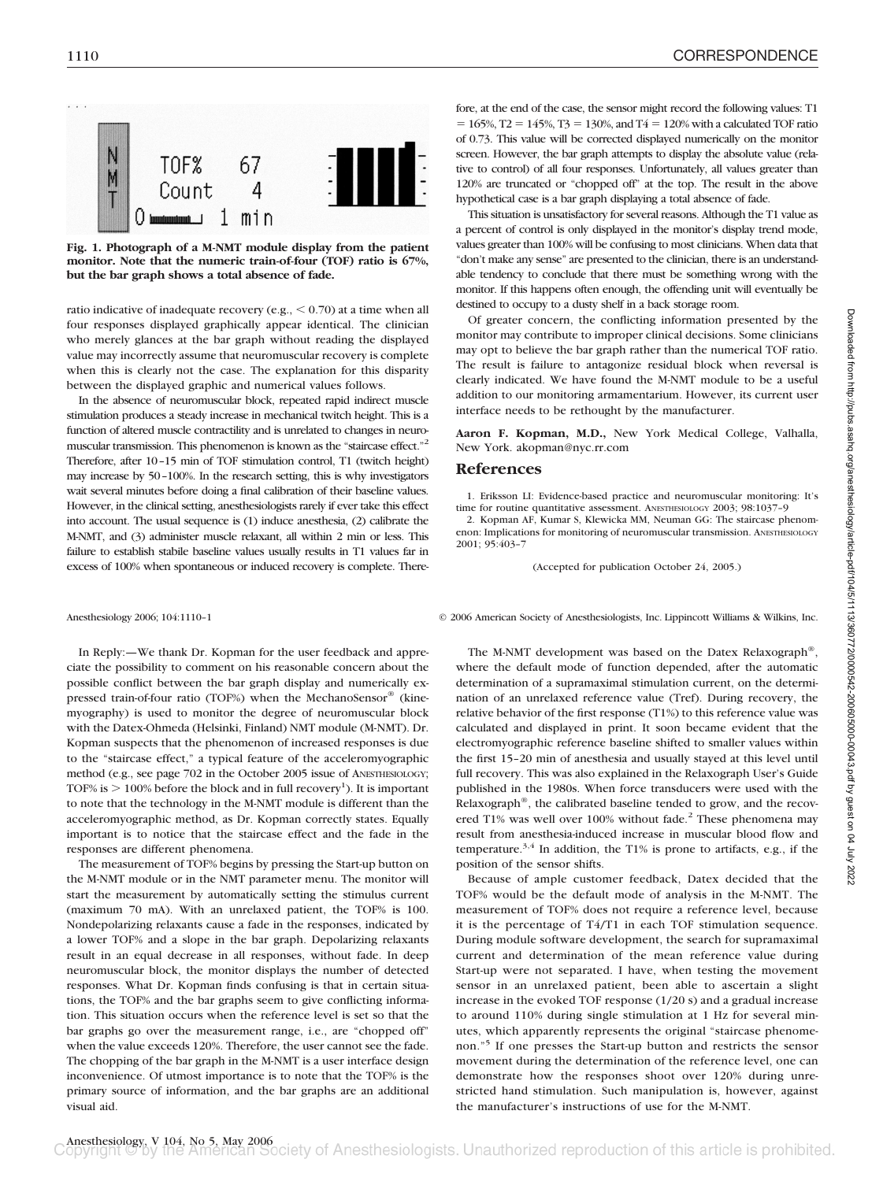

**Fig. 1. Photograph of a M-NMT module display from the patient monitor. Note that the numeric train-of-four (TOF) ratio is 67%, but the bar graph shows a total absence of fade.**

ratio indicative of inadequate recovery (e.g.,  $\leq 0.70$ ) at a time when all four responses displayed graphically appear identical. The clinician who merely glances at the bar graph without reading the displayed value may incorrectly assume that neuromuscular recovery is complete when this is clearly not the case. The explanation for this disparity between the displayed graphic and numerical values follows.

In the absence of neuromuscular block, repeated rapid indirect muscle stimulation produces a steady increase in mechanical twitch height. This is a function of altered muscle contractility and is unrelated to changes in neuromuscular transmission. This phenomenon is known as the "staircase effect."2 Therefore, after 10–15 min of TOF stimulation control, T1 (twitch height) may increase by 50–100%. In the research setting, this is why investigators wait several minutes before doing a final calibration of their baseline values. However, in the clinical setting, anesthesiologists rarely if ever take this effect into account. The usual sequence is (1) induce anesthesia, (2) calibrate the M-NMT, and (3) administer muscle relaxant, all within 2 min or less. This failure to establish stabile baseline values usually results in T1 values far in excess of 100% when spontaneous or induced recovery is complete. There-

In Reply:—We thank Dr. Kopman for the user feedback and appreciate the possibility to comment on his reasonable concern about the possible conflict between the bar graph display and numerically expressed train-of-four ratio (TOF%) when the MechanoSensor® (kinemyography) is used to monitor the degree of neuromuscular block with the Datex-Ohmeda (Helsinki, Finland) NMT module (M-NMT). Dr. Kopman suspects that the phenomenon of increased responses is due to the "staircase effect," a typical feature of the acceleromyographic method (e.g., see page 702 in the October 2005 issue of ANESTHESIOLOGY; TOF% is  $> 100\%$  before the block and in full recovery<sup>1</sup>). It is important to note that the technology in the M-NMT module is different than the acceleromyographic method, as Dr. Kopman correctly states. Equally important is to notice that the staircase effect and the fade in the responses are different phenomena.

The measurement of TOF% begins by pressing the Start-up button on the M-NMT module or in the NMT parameter menu. The monitor will start the measurement by automatically setting the stimulus current (maximum 70 mA). With an unrelaxed patient, the TOF% is 100. Nondepolarizing relaxants cause a fade in the responses, indicated by a lower TOF% and a slope in the bar graph. Depolarizing relaxants result in an equal decrease in all responses, without fade. In deep neuromuscular block, the monitor displays the number of detected responses. What Dr. Kopman finds confusing is that in certain situations, the TOF% and the bar graphs seem to give conflicting information. This situation occurs when the reference level is set so that the bar graphs go over the measurement range, i.e., are "chopped off" when the value exceeds 120%. Therefore, the user cannot see the fade. The chopping of the bar graph in the M-NMT is a user interface design inconvenience. Of utmost importance is to note that the TOF% is the primary source of information, and the bar graphs are an additional visual aid.

fore, at the end of the case, the sensor might record the following values: T1  $= 165\%$ , T2  $= 145\%$ , T3  $= 130\%$ , and T4  $= 120\%$  with a calculated TOF ratio of 0.73. This value will be corrected displayed numerically on the monitor screen. However, the bar graph attempts to display the absolute value (relative to control) of all four responses. Unfortunately, all values greater than 120% are truncated or "chopped off" at the top. The result in the above hypothetical case is a bar graph displaying a total absence of fade.

This situation is unsatisfactory for several reasons. Although the T1 value as a percent of control is only displayed in the monitor's display trend mode, values greater than 100% will be confusing to most clinicians. When data that "don't make any sense" are presented to the clinician, there is an understandable tendency to conclude that there must be something wrong with the monitor. If this happens often enough, the offending unit will eventually be destined to occupy to a dusty shelf in a back storage room.

Of greater concern, the conflicting information presented by the monitor may contribute to improper clinical decisions. Some clinicians may opt to believe the bar graph rather than the numerical TOF ratio. The result is failure to antagonize residual block when reversal is clearly indicated. We have found the M-NMT module to be a useful addition to our monitoring armamentarium. However, its current user interface needs to be rethought by the manufacturer.

**Aaron F. Kopman, M.D.,** New York Medical College, Valhalla, New York. akopman@nyc.rr.com

### **References**

1. Eriksson LI: Evidence-based practice and neuromuscular monitoring: It's time for routine quantitative assessment. ANESTHESIOLOGY 2003; 98:1037–9

2. Kopman AF, Kumar S, Klewicka MM, Neuman GG: The staircase phenomenon: Implications for monitoring of neuromuscular transmission. ANESTHESIOLOGY 2001; 95:403–7

(Accepted for publication October 24, 2005.)

Anesthesiology 2006; 104:1110–1 © 2006 American Society of Anesthesiologists, Inc. Lippincott Williams & Wilkins, Inc.

The M-NMT development was based on the Datex Relaxograph®, where the default mode of function depended, after the automatic determination of a supramaximal stimulation current, on the determination of an unrelaxed reference value (Tref). During recovery, the relative behavior of the first response (T1%) to this reference value was calculated and displayed in print. It soon became evident that the electromyographic reference baseline shifted to smaller values within the first 15–20 min of anesthesia and usually stayed at this level until full recovery. This was also explained in the Relaxograph User's Guide published in the 1980s. When force transducers were used with the Relaxograph®, the calibrated baseline tended to grow, and the recovered T1% was well over 100% without fade.<sup>2</sup> These phenomena may result from anesthesia-induced increase in muscular blood flow and temperature.3,4 In addition, the T1% is prone to artifacts, e.g., if the position of the sensor shifts.

Because of ample customer feedback, Datex decided that the TOF% would be the default mode of analysis in the M-NMT. The measurement of TOF% does not require a reference level, because it is the percentage of T4/T1 in each TOF stimulation sequence. During module software development, the search for supramaximal current and determination of the mean reference value during Start-up were not separated. I have, when testing the movement sensor in an unrelaxed patient, been able to ascertain a slight increase in the evoked TOF response (1/20 s) and a gradual increase to around 110% during single stimulation at 1 Hz for several minutes, which apparently represents the original "staircase phenomenon."<sup>5</sup> If one presses the Start-up button and restricts the sensor movement during the determination of the reference level, one can demonstrate how the responses shoot over 120% during unrestricted hand stimulation. Such manipulation is, however, against the manufacturer's instructions of use for the M-NMT.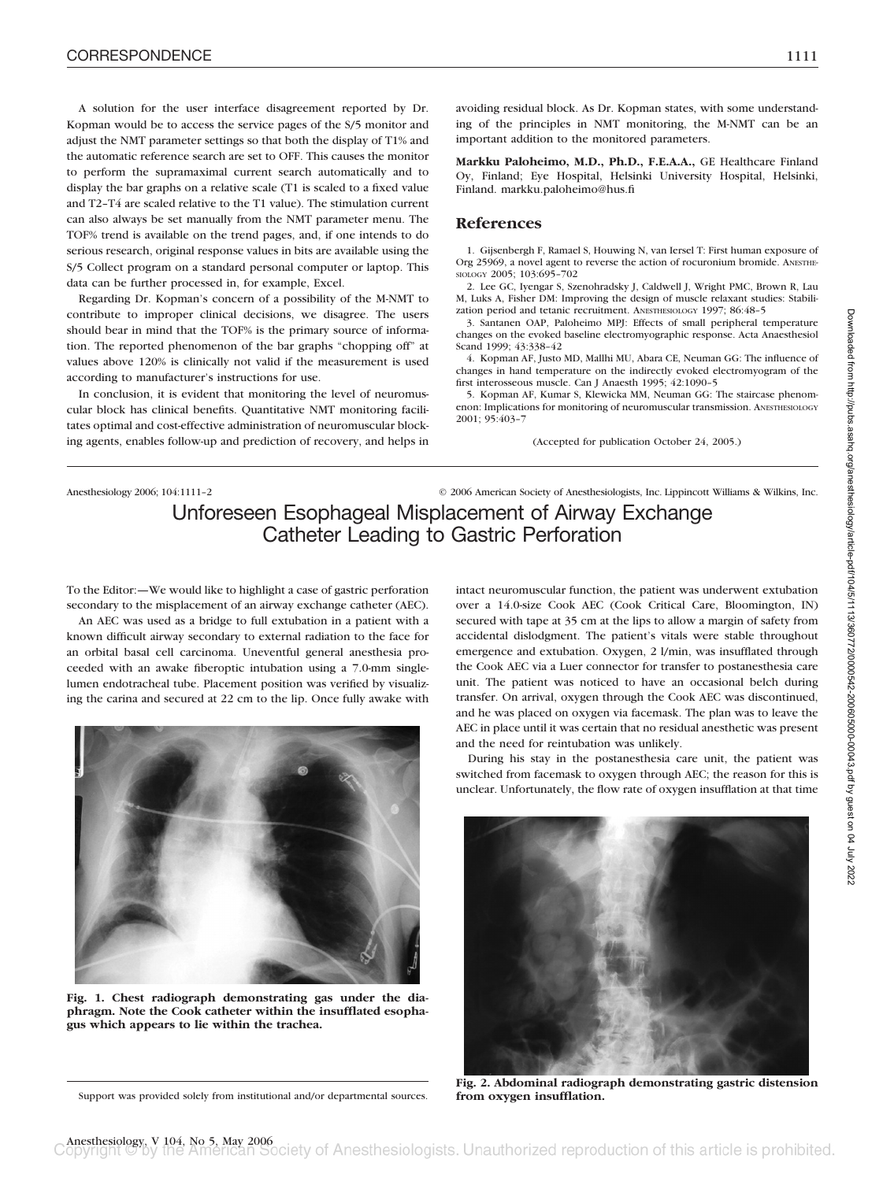A solution for the user interface disagreement reported by Dr. Kopman would be to access the service pages of the S/5 monitor and adjust the NMT parameter settings so that both the display of T1% and the automatic reference search are set to OFF. This causes the monitor to perform the supramaximal current search automatically and to display the bar graphs on a relative scale (T1 is scaled to a fixed value and T2–T4 are scaled relative to the T1 value). The stimulation current can also always be set manually from the NMT parameter menu. The TOF% trend is available on the trend pages, and, if one intends to do serious research, original response values in bits are available using the S/5 Collect program on a standard personal computer or laptop. This data can be further processed in, for example, Excel.

Regarding Dr. Kopman's concern of a possibility of the M-NMT to contribute to improper clinical decisions, we disagree. The users should bear in mind that the TOF% is the primary source of information. The reported phenomenon of the bar graphs "chopping off" at values above 120% is clinically not valid if the measurement is used according to manufacturer's instructions for use.

In conclusion, it is evident that monitoring the level of neuromuscular block has clinical benefits. Quantitative NMT monitoring facilitates optimal and cost-effective administration of neuromuscular blocking agents, enables follow-up and prediction of recovery, and helps in

avoiding residual block. As Dr. Kopman states, with some understanding of the principles in NMT monitoring, the M-NMT can be an important addition to the monitored parameters.

**Markku Paloheimo, M.D., Ph.D., F.E.A.A.,** GE Healthcare Finland Oy, Finland; Eye Hospital, Helsinki University Hospital, Helsinki, Finland. markku.paloheimo@hus.fi

### **References**

1. Gijsenbergh F, Ramael S, Houwing N, van Iersel T: First human exposure of Org 25969, a novel agent to reverse the action of rocuronium bromide. ANESTHE-SIOLOGY 2005; 103:695–702

2. Lee GC, Iyengar S, Szenohradsky J, Caldwell J, Wright PMC, Brown R, Lau M, Luks A, Fisher DM: Improving the design of muscle relaxant studies: Stabilization period and tetanic recruitment. ANESTHESIOLOGY 1997; 86:48-5

3. Santanen OAP, Paloheimo MPJ: Effects of small peripheral temperature changes on the evoked baseline electromyographic response. Acta Anaesthesiol Scand 1999; 43:338–42

4. Kopman AF, Justo MD, Mallhi MU, Abara CE, Neuman GG: The influence of changes in hand temperature on the indirectly evoked electromyogram of the first interosseous muscle. Can J Anaesth 1995; 42:1090–5

5. Kopman AF, Kumar S, Klewicka MM, Neuman GG: The staircase phenomenon: Implications for monitoring of neuromuscular transmission. ANESTHESIOLOGY 2001; 95:403–7

(Accepted for publication October 24, 2005.)

Anesthesiology 2006; 104:1111–2 © 2006 American Society of Anesthesiologists, Inc. Lippincott Williams & Wilkins, Inc.

# Unforeseen Esophageal Misplacement of Airway Exchange Catheter Leading to Gastric Perforation

To the Editor:—We would like to highlight a case of gastric perforation secondary to the misplacement of an airway exchange catheter (AEC).

An AEC was used as a bridge to full extubation in a patient with a known difficult airway secondary to external radiation to the face for an orbital basal cell carcinoma. Uneventful general anesthesia proceeded with an awake fiberoptic intubation using a 7.0-mm singlelumen endotracheal tube. Placement position was verified by visualizing the carina and secured at 22 cm to the lip. Once fully awake with



**Fig. 1. Chest radiograph demonstrating gas under the diaphragm. Note the Cook catheter within the insufflated esophagus which appears to lie within the trachea.**

Support was provided solely from institutional and/or departmental sources.

intact neuromuscular function, the patient was underwent extubation over a 14.0-size Cook AEC (Cook Critical Care, Bloomington, IN) secured with tape at 35 cm at the lips to allow a margin of safety from accidental dislodgment. The patient's vitals were stable throughout emergence and extubation. Oxygen, 2 l/min, was insufflated through the Cook AEC via a Luer connector for transfer to postanesthesia care unit. The patient was noticed to have an occasional belch during transfer. On arrival, oxygen through the Cook AEC was discontinued, and he was placed on oxygen via facemask. The plan was to leave the AEC in place until it was certain that no residual anesthetic was present and the need for reintubation was unlikely.

During his stay in the postanesthesia care unit, the patient was switched from facemask to oxygen through AEC; the reason for this is unclear. Unfortunately, the flow rate of oxygen insufflation at that time



**Fig. 2. Abdominal radiograph demonstrating gastric distension from oxygen insufflation.**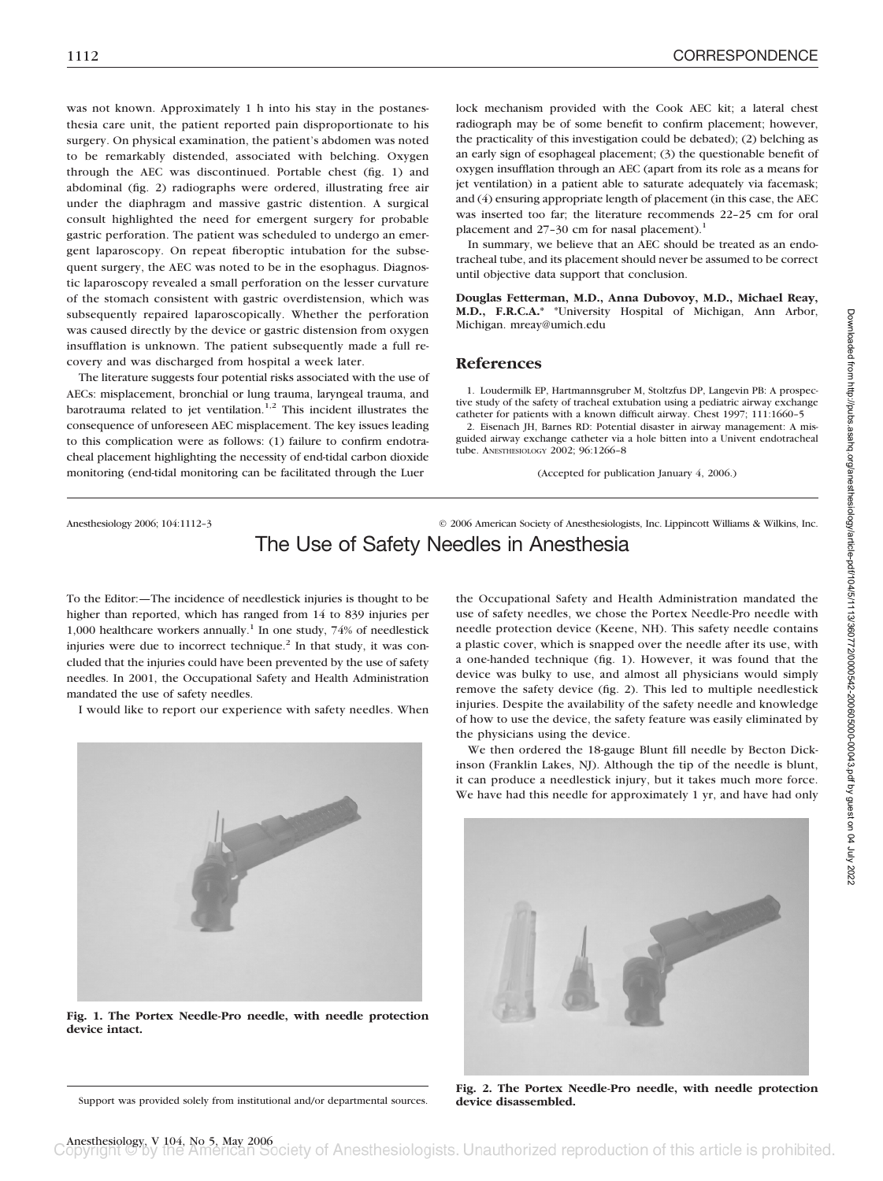was not known. Approximately 1 h into his stay in the postanesthesia care unit, the patient reported pain disproportionate to his surgery. On physical examination, the patient's abdomen was noted to be remarkably distended, associated with belching. Oxygen through the AEC was discontinued. Portable chest (fig. 1) and abdominal (fig. 2) radiographs were ordered, illustrating free air under the diaphragm and massive gastric distention. A surgical consult highlighted the need for emergent surgery for probable gastric perforation. The patient was scheduled to undergo an emergent laparoscopy. On repeat fiberoptic intubation for the subsequent surgery, the AEC was noted to be in the esophagus. Diagnostic laparoscopy revealed a small perforation on the lesser curvature of the stomach consistent with gastric overdistension, which was subsequently repaired laparoscopically. Whether the perforation was caused directly by the device or gastric distension from oxygen insufflation is unknown. The patient subsequently made a full recovery and was discharged from hospital a week later.

The literature suggests four potential risks associated with the use of AECs: misplacement, bronchial or lung trauma, laryngeal trauma, and barotrauma related to jet ventilation.<sup>1,2</sup> This incident illustrates the consequence of unforeseen AEC misplacement. The key issues leading to this complication were as follows: (1) failure to confirm endotracheal placement highlighting the necessity of end-tidal carbon dioxide monitoring (end-tidal monitoring can be facilitated through the Luer

lock mechanism provided with the Cook AEC kit; a lateral chest radiograph may be of some benefit to confirm placement; however, the practicality of this investigation could be debated); (2) belching as an early sign of esophageal placement; (3) the questionable benefit of oxygen insufflation through an AEC (apart from its role as a means for jet ventilation) in a patient able to saturate adequately via facemask; and (4) ensuring appropriate length of placement (in this case, the AEC was inserted too far; the literature recommends 22–25 cm for oral placement and  $27-30$  cm for nasal placement).<sup>1</sup>

In summary, we believe that an AEC should be treated as an endotracheal tube, and its placement should never be assumed to be correct until objective data support that conclusion.

**Douglas Fetterman, M.D., Anna Dubovoy, M.D., Michael Reay, M.D., F.R.C.A.\*** \*University Hospital of Michigan, Ann Arbor, Michigan. mreay@umich.edu

## **References**

1. Loudermilk EP, Hartmannsgruber M, Stoltzfus DP, Langevin PB: A prospective study of the safety of tracheal extubation using a pediatric airway exchange catheter for patients with a known difficult airway. Chest 1997; 111:1660–5

2. Eisenach JH, Barnes RD: Potential disaster in airway management: A misguided airway exchange catheter via a hole bitten into a Univent endotracheal tube. ANESTHESIOLOGY 2002; 96:1266–8

(Accepted for publication January 4, 2006.)

Anesthesiology 2006; 104:1112–3 © 2006 American Society of Anesthesiologists, Inc. Lippincott Williams & Wilkins, Inc.

The Use of Safety Needles in Anesthesia

To the Editor:—The incidence of needlestick injuries is thought to be higher than reported, which has ranged from 14 to 839 injuries per 1,000 healthcare workers annually.<sup>1</sup> In one study, 74% of needlestick injuries were due to incorrect technique.<sup>2</sup> In that study, it was concluded that the injuries could have been prevented by the use of safety needles. In 2001, the Occupational Safety and Health Administration mandated the use of safety needles.

I would like to report our experience with safety needles. When



**Fig. 1. The Portex Needle-Pro needle, with needle protection device intact.**

Support was provided solely from institutional and/or departmental sources.

the Occupational Safety and Health Administration mandated the use of safety needles, we chose the Portex Needle-Pro needle with needle protection device (Keene, NH). This safety needle contains a plastic cover, which is snapped over the needle after its use, with a one-handed technique (fig. 1). However, it was found that the device was bulky to use, and almost all physicians would simply remove the safety device (fig. 2). This led to multiple needlestick injuries. Despite the availability of the safety needle and knowledge of how to use the device, the safety feature was easily eliminated by the physicians using the device.

We then ordered the 18-gauge Blunt fill needle by Becton Dickinson (Franklin Lakes, NJ). Although the tip of the needle is blunt, it can produce a needlestick injury, but it takes much more force. We have had this needle for approximately 1 yr, and have had only



Downloaded from http://pubs.asahq.org/danie/siology/dritiole-pt/fr/13/360772/00000-0042-2006000-00043.pdf by grest on 04 July 2022 Downloaded from http://pubs.asahq.org/anesthesiology/article-pdf/104/5/1113/360772/0000542-200605000-00043.pdf by guest on 04 July 2022

**Fig. 2. The Portex Needle-Pro needle, with needle protection device disassembled.**